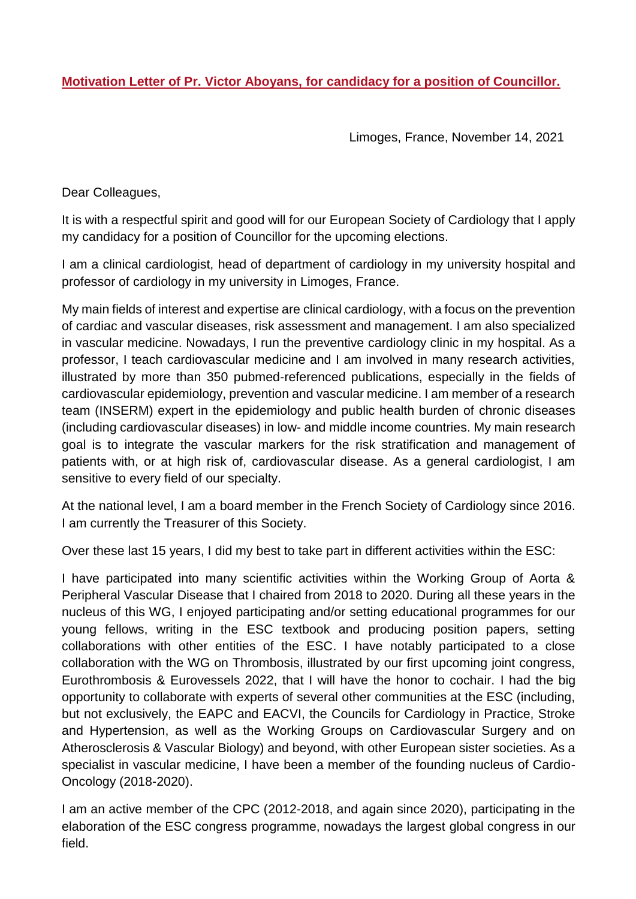**Motivation Letter of Pr. Victor Aboyans, for candidacy for a position of Councillor.**

Limoges, France, November 14, 2021

Dear Colleagues,

It is with a respectful spirit and good will for our European Society of Cardiology that I apply my candidacy for a position of Councillor for the upcoming elections.

I am a clinical cardiologist, head of department of cardiology in my university hospital and professor of cardiology in my university in Limoges, France.

My main fields of interest and expertise are clinical cardiology, with a focus on the prevention of cardiac and vascular diseases, risk assessment and management. I am also specialized in vascular medicine. Nowadays, I run the preventive cardiology clinic in my hospital. As a professor, I teach cardiovascular medicine and I am involved in many research activities, illustrated by more than 350 pubmed-referenced publications, especially in the fields of cardiovascular epidemiology, prevention and vascular medicine. I am member of a research team (INSERM) expert in the epidemiology and public health burden of chronic diseases (including cardiovascular diseases) in low- and middle income countries. My main research goal is to integrate the vascular markers for the risk stratification and management of patients with, or at high risk of, cardiovascular disease. As a general cardiologist, I am sensitive to every field of our specialty.

At the national level, I am a board member in the French Society of Cardiology since 2016. I am currently the Treasurer of this Society.

Over these last 15 years, I did my best to take part in different activities within the ESC:

I have participated into many scientific activities within the Working Group of Aorta & Peripheral Vascular Disease that I chaired from 2018 to 2020. During all these years in the nucleus of this WG, I enjoyed participating and/or setting educational programmes for our young fellows, writing in the ESC textbook and producing position papers, setting collaborations with other entities of the ESC. I have notably participated to a close collaboration with the WG on Thrombosis, illustrated by our first upcoming joint congress, Eurothrombosis & Eurovessels 2022, that I will have the honor to cochair. I had the big opportunity to collaborate with experts of several other communities at the ESC (including, but not exclusively, the EAPC and EACVI, the Councils for Cardiology in Practice, Stroke and Hypertension, as well as the Working Groups on Cardiovascular Surgery and on Atherosclerosis & Vascular Biology) and beyond, with other European sister societies. As a specialist in vascular medicine, I have been a member of the founding nucleus of Cardio-Oncology (2018-2020).

I am an active member of the CPC (2012-2018, and again since 2020), participating in the elaboration of the ESC congress programme, nowadays the largest global congress in our field.